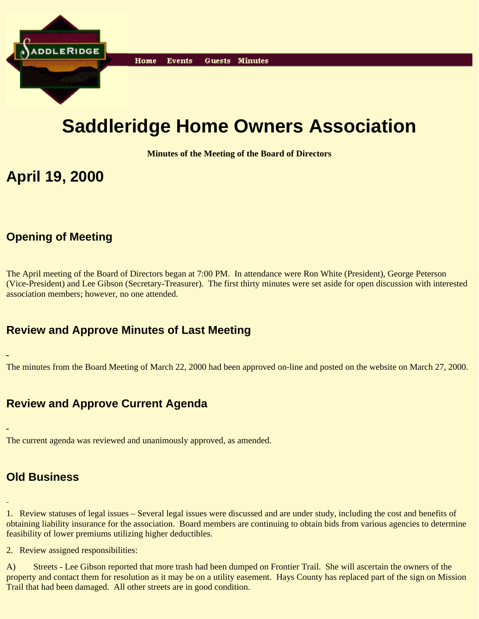

# **Saddleridge Home Owners Association**

**Minutes of the Meeting of the Board of Directors**

## **April 19, 2000**

## **Opening of Meeting**

The April meeting of the Board of Directors began at 7:00 PM. In attendance were Ron White (President), George Peterson (Vice-President) and Lee Gibson (Secretary-Treasurer). The first thirty minutes were set aside for open discussion with interested association members; however, no one attended.

### **Review and Approve Minutes of Last Meeting**

The minutes from the Board Meeting of March 22, 2000 had been approved on-line and posted on the website on March 27, 2000.

## **Review and Approve Current Agenda**

The current agenda was reviewed and unanimously approved, as amended.

## **Old Business**

1. Review statuses of legal issues – Several legal issues were discussed and are under study, including the cost and benefits of obtaining liability insurance for the association. Board members are continuing to obtain bids from various agencies to determine feasibility of lower premiums utilizing higher deductibles.

2. Review assigned responsibilities:

A) Streets - Lee Gibson reported that more trash had been dumped on Frontier Trail. She will ascertain the owners of the property and contact them for resolution as it may be on a utility easement. Hays County has replaced part of the sign on Mission Trail that had been damaged. All other streets are in good condition.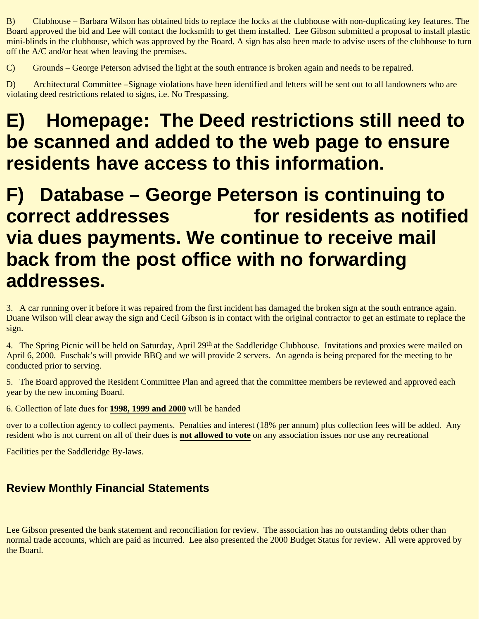B) Clubhouse – Barbara Wilson has obtained bids to replace the locks at the clubhouse with non-duplicating key features. The Board approved the bid and Lee will contact the locksmith to get them installed. Lee Gibson submitted a proposal to install plastic mini-blinds in the clubhouse, which was approved by the Board. A sign has also been made to advise users of the clubhouse to turn off the A/C and/or heat when leaving the premises.

C) Grounds – George Peterson advised the light at the south entrance is broken again and needs to be repaired.

D) Architectural Committee –Signage violations have been identified and letters will be sent out to all landowners who are violating deed restrictions related to signs, i.e. No Trespassing.

# **E) Homepage: The Deed restrictions still need to be scanned and added to the web page to ensure residents have access to this information.**

## **F) Database – George Peterson is continuing to correct addresses Transfor residents as notified via dues payments. We continue to receive mail back from the post office with no forwarding addresses.**

3. A car running over it before it was repaired from the first incident has damaged the broken sign at the south entrance again. Duane Wilson will clear away the sign and Cecil Gibson is in contact with the original contractor to get an estimate to replace the sign.

4. The Spring Picnic will be held on Saturday, April 29<sup>th</sup> at the Saddleridge Clubhouse. Invitations and proxies were mailed on April 6, 2000. Fuschak's will provide BBQ and we will provide 2 servers. An agenda is being prepared for the meeting to be conducted prior to serving.

5. The Board approved the Resident Committee Plan and agreed that the committee members be reviewed and approved each year by the new incoming Board.

6. Collection of late dues for **1998, 1999 and 2000** will be handed

over to a collection agency to collect payments. Penalties and interest (18% per annum) plus collection fees will be added. Any resident who is not current on all of their dues is **not allowed to vote** on any association issues nor use any recreational

Facilities per the Saddleridge By-laws.

## **Review Monthly Financial Statements**

Lee Gibson presented the bank statement and reconciliation for review. The association has no outstanding debts other than normal trade accounts, which are paid as incurred. Lee also presented the 2000 Budget Status for review. All were approved by the Board.